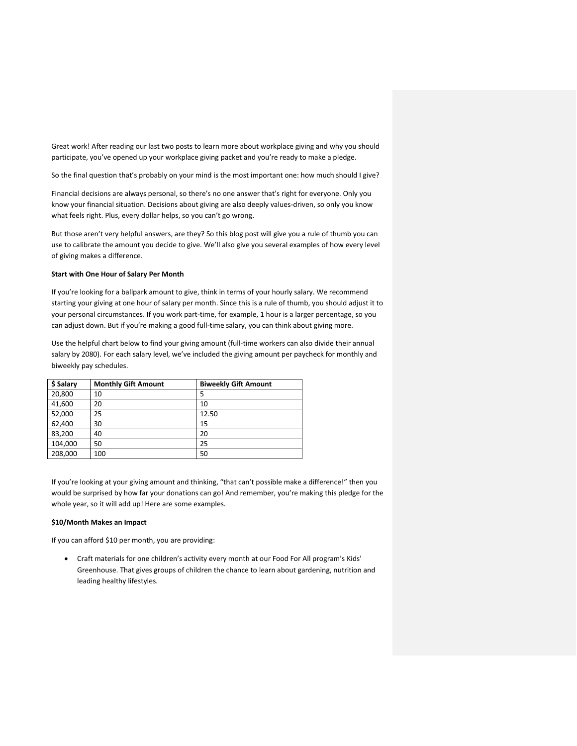Great work! After reading our last two posts to learn more about workplace giving and why you should participate, you've opened up your workplace giving packet and you're ready to make a pledge.

So the final question that's probably on your mind is the most important one: how much should I give?

Financial decisions are always personal, so there's no one answer that's right for everyone. Only you know your financial situation. Decisions about giving are also deeply values-driven, so only you know what feels right. Plus, every dollar helps, so you can't go wrong.

But those aren't very helpful answers, are they? So this blog post will give you a rule of thumb you can use to calibrate the amount you decide to give. We'll also give you several examples of how every level of giving makes a difference.

# **Start with One Hour of Salary Per Month**

If you're looking for a ballpark amount to give, think in terms of your hourly salary. We recommend starting your giving at one hour of salary per month. Since this is a rule of thumb, you should adjust it to your personal circumstances. If you work part-time, for example, 1 hour is a larger percentage, so you can adjust down. But if you're making a good full-time salary, you can think about giving more.

Use the helpful chart below to find your giving amount (full-time workers can also divide their annual salary by 2080). For each salary level, we've included the giving amount per paycheck for monthly and biweekly pay schedules.

| \$ Salary | <b>Monthly Gift Amount</b> | <b>Biweekly Gift Amount</b> |
|-----------|----------------------------|-----------------------------|
| 20,800    | 10                         | 5                           |
| 41,600    | 20                         | 10                          |
| 52,000    | 25                         | 12.50                       |
| 62,400    | 30                         | 15                          |
| 83,200    | 40                         | 20                          |
| 104,000   | 50                         | 25                          |
| 208,000   | 100                        | 50                          |

If you're looking at your giving amount and thinking, "that can't possible make a difference!" then you would be surprised by how far your donations can go! And remember, you're making this pledge for the whole year, so it will add up! Here are some examples.

### **\$10/Month Makes an Impact**

If you can afford \$10 per month, you are providing:

• Craft materials for one children's activity every month at our Food For All program's Kids' Greenhouse. That gives groups of children the chance to learn about gardening, nutrition and leading healthy lifestyles.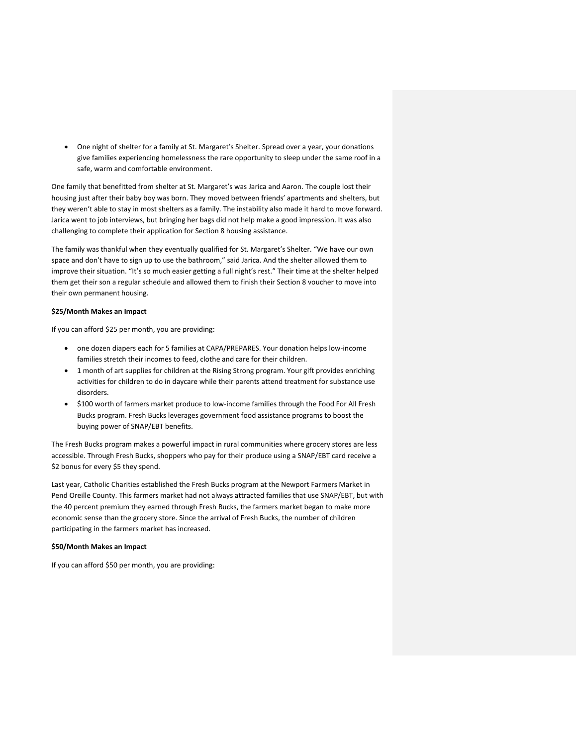• One night of shelter for a family at St. Margaret's Shelter. Spread over a year, your donations give families experiencing homelessness the rare opportunity to sleep under the same roof in a safe, warm and comfortable environment.

One family that benefitted from shelter at St. Margaret's was Jarica and Aaron. The couple lost their housing just after their baby boy was born. They moved between friends' apartments and shelters, but they weren't able to stay in most shelters as a family. The instability also made it hard to move forward. Jarica went to job interviews, but bringing her bags did not help make a good impression. It was also challenging to complete their application for Section 8 housing assistance.

The family was thankful when they eventually qualified for St. Margaret's Shelter. "We have our own space and don't have to sign up to use the bathroom," said Jarica. And the shelter allowed them to improve their situation. "It's so much easier getting a full night's rest." Their time at the shelter helped them get their son a regular schedule and allowed them to finish their Section 8 voucher to move into their own permanent housing.

### **\$25/Month Makes an Impact**

If you can afford \$25 per month, you are providing:

- one dozen diapers each for 5 families at CAPA/PREPARES. Your donation helps low-income families stretch their incomes to feed, clothe and care for their children.
- 1 month of art supplies for children at the Rising Strong program. Your gift provides enriching activities for children to do in daycare while their parents attend treatment for substance use disorders.
- \$100 worth of farmers market produce to low-income families through the Food For All Fresh Bucks program. Fresh Bucks leverages government food assistance programs to boost the buying power of SNAP/EBT benefits.

The Fresh Bucks program makes a powerful impact in rural communities where grocery stores are less accessible. Through Fresh Bucks, shoppers who pay for their produce using a SNAP/EBT card receive a \$2 bonus for every \$5 they spend.

Last year, Catholic Charities established the Fresh Bucks program at the Newport Farmers Market in Pend Oreille County. This farmers market had not always attracted families that use SNAP/EBT, but with the 40 percent premium they earned through Fresh Bucks, the farmers market began to make more economic sense than the grocery store. Since the arrival of Fresh Bucks, the number of children participating in the farmers market has increased.

#### **\$50/Month Makes an Impact**

If you can afford \$50 per month, you are providing: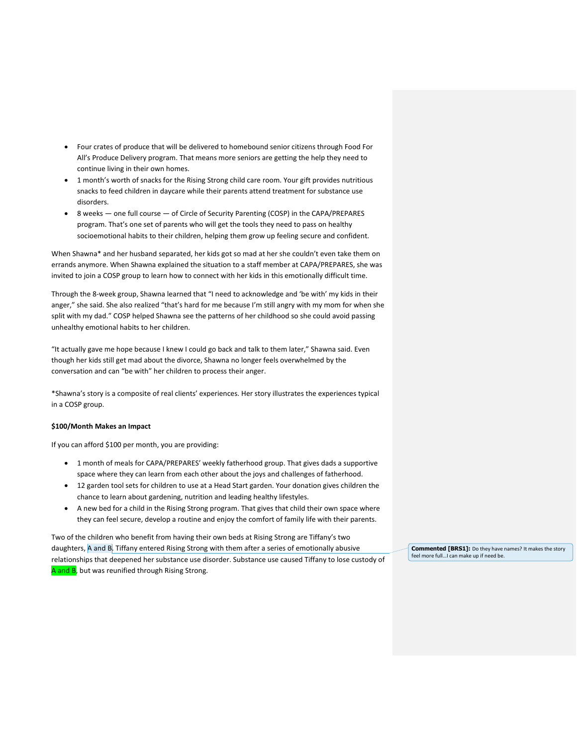- Four crates of produce that will be delivered to homebound senior citizens through Food For All's Produce Delivery program. That means more seniors are getting the help they need to continue living in their own homes.
- 1 month's worth of snacks for the Rising Strong child care room. Your gift provides nutritious snacks to feed children in daycare while their parents attend treatment for substance use disorders.
- 8 weeks one full course of Circle of Security Parenting (COSP) in the CAPA/PREPARES program. That's one set of parents who will get the tools they need to pass on healthy socioemotional habits to their children, helping them grow up feeling secure and confident.

When Shawna\* and her husband separated, her kids got so mad at her she couldn't even take them on errands anymore. When Shawna explained the situation to a staff member at CAPA/PREPARES, she was invited to join a COSP group to learn how to connect with her kids in this emotionally difficult time.

Through the 8-week group, Shawna learned that "I need to acknowledge and 'be with' my kids in their anger," she said. She also realized "that's hard for me because I'm still angry with my mom for when she split with my dad." COSP helped Shawna see the patterns of her childhood so she could avoid passing unhealthy emotional habits to her children.

"It actually gave me hope because I knew I could go back and talk to them later," Shawna said. Even though her kids still get mad about the divorce, Shawna no longer feels overwhelmed by the conversation and can "be with" her children to process their anger.

\*Shawna's story is a composite of real clients' experiences. Her story illustrates the experiences typical in a COSP group.

#### **\$100/Month Makes an Impact**

If you can afford \$100 per month, you are providing:

- 1 month of meals for CAPA/PREPARES' weekly fatherhood group. That gives dads a supportive space where they can learn from each other about the joys and challenges of fatherhood.
- 12 garden tool sets for children to use at a Head Start garden. Your donation gives children the chance to learn about gardening, nutrition and leading healthy lifestyles.
- A new bed for a child in the Rising Strong program. That gives that child their own space where they can feel secure, develop a routine and enjoy the comfort of family life with their parents.

Two of the children who benefit from having their own beds at Rising Strong are Tiffany's two daughters, A and B. Tiffany entered Rising Strong with them after a series of emotionally abusive relationships that deepened her substance use disorder. Substance use caused Tiffany to lose custody of A and B, but was reunified through Rising Strong.

**Commented [BRS1]:** Do they have names? It makes the story feel more full... I can make up if need be